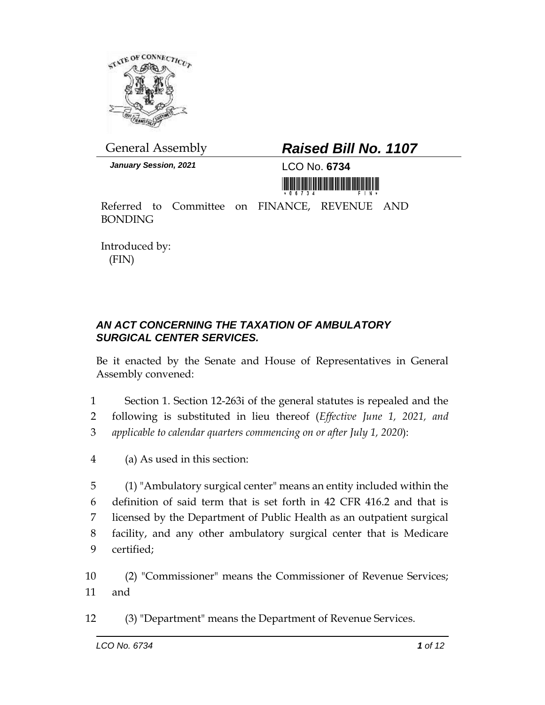

## General Assembly *Raised Bill No. 1107*

*January Session, 2021* LCO No. **6734**



Referred to Committee on FINANCE, REVENUE AND BONDING

Introduced by: (FIN)

## *AN ACT CONCERNING THE TAXATION OF AMBULATORY SURGICAL CENTER SERVICES.*

Be it enacted by the Senate and House of Representatives in General Assembly convened:

1 Section 1. Section 12-263i of the general statutes is repealed and the 2 following is substituted in lieu thereof (*Effective June 1, 2021, and*  3 *applicable to calendar quarters commencing on or after July 1, 2020*):

4 (a) As used in this section:

 (1) "Ambulatory surgical center" means an entity included within the definition of said term that is set forth in 42 CFR 416.2 and that is licensed by the Department of Public Health as an outpatient surgical facility, and any other ambulatory surgical center that is Medicare certified;

10 (2) "Commissioner" means the Commissioner of Revenue Services; 11 and

12 (3) "Department" means the Department of Revenue Services.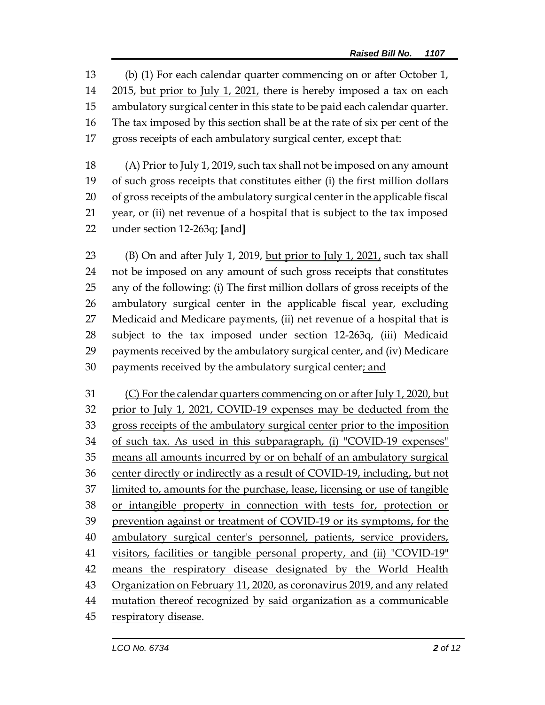(b) (1) For each calendar quarter commencing on or after October 1, 2015, but prior to July 1, 2021, there is hereby imposed a tax on each ambulatory surgical center in this state to be paid each calendar quarter. The tax imposed by this section shall be at the rate of six per cent of the gross receipts of each ambulatory surgical center, except that:

 (A) Prior to July 1, 2019, such tax shall not be imposed on any amount of such gross receipts that constitutes either (i) the first million dollars of gross receipts of the ambulatory surgical center in the applicable fiscal year, or (ii) net revenue of a hospital that is subject to the tax imposed under section 12-263q; **[**and**]**

23 (B) On and after July 1, 2019, but prior to July 1, 2021, such tax shall not be imposed on any amount of such gross receipts that constitutes any of the following: (i) The first million dollars of gross receipts of the ambulatory surgical center in the applicable fiscal year, excluding Medicaid and Medicare payments, (ii) net revenue of a hospital that is subject to the tax imposed under section 12-263q, (iii) Medicaid payments received by the ambulatory surgical center, and (iv) Medicare payments received by the ambulatory surgical center; and

 (C) For the calendar quarters commencing on or after July 1, 2020, but prior to July 1, 2021, COVID-19 expenses may be deducted from the gross receipts of the ambulatory surgical center prior to the imposition of such tax. As used in this subparagraph, (i) "COVID-19 expenses" means all amounts incurred by or on behalf of an ambulatory surgical center directly or indirectly as a result of COVID-19, including, but not limited to, amounts for the purchase, lease, licensing or use of tangible or intangible property in connection with tests for, protection or prevention against or treatment of COVID-19 or its symptoms, for the ambulatory surgical center's personnel, patients, service providers, visitors, facilities or tangible personal property, and (ii) "COVID-19" means the respiratory disease designated by the World Health Organization on February 11, 2020, as coronavirus 2019, and any related mutation thereof recognized by said organization as a communicable respiratory disease.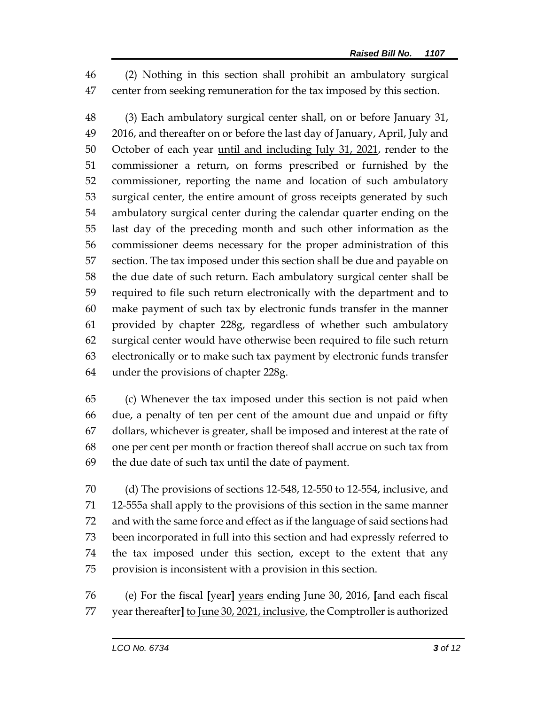(2) Nothing in this section shall prohibit an ambulatory surgical center from seeking remuneration for the tax imposed by this section.

 (3) Each ambulatory surgical center shall, on or before January 31, 2016, and thereafter on or before the last day of January, April, July and 50 October of each year <u>until and including July 31, 2021</u>, render to the commissioner a return, on forms prescribed or furnished by the commissioner, reporting the name and location of such ambulatory surgical center, the entire amount of gross receipts generated by such ambulatory surgical center during the calendar quarter ending on the last day of the preceding month and such other information as the commissioner deems necessary for the proper administration of this section. The tax imposed under this section shall be due and payable on the due date of such return. Each ambulatory surgical center shall be required to file such return electronically with the department and to make payment of such tax by electronic funds transfer in the manner provided by chapter 228g, regardless of whether such ambulatory surgical center would have otherwise been required to file such return electronically or to make such tax payment by electronic funds transfer under the provisions of chapter 228g.

 (c) Whenever the tax imposed under this section is not paid when due, a penalty of ten per cent of the amount due and unpaid or fifty dollars, whichever is greater, shall be imposed and interest at the rate of one per cent per month or fraction thereof shall accrue on such tax from the due date of such tax until the date of payment.

 (d) The provisions of sections 12-548, 12-550 to 12-554, inclusive, and 12-555a shall apply to the provisions of this section in the same manner and with the same force and effect as if the language of said sections had been incorporated in full into this section and had expressly referred to the tax imposed under this section, except to the extent that any provision is inconsistent with a provision in this section.

 (e) For the fiscal **[**year**]** years ending June 30, 2016, **[**and each fiscal year thereafter**]** to June 30, 2021, inclusive, the Comptroller is authorized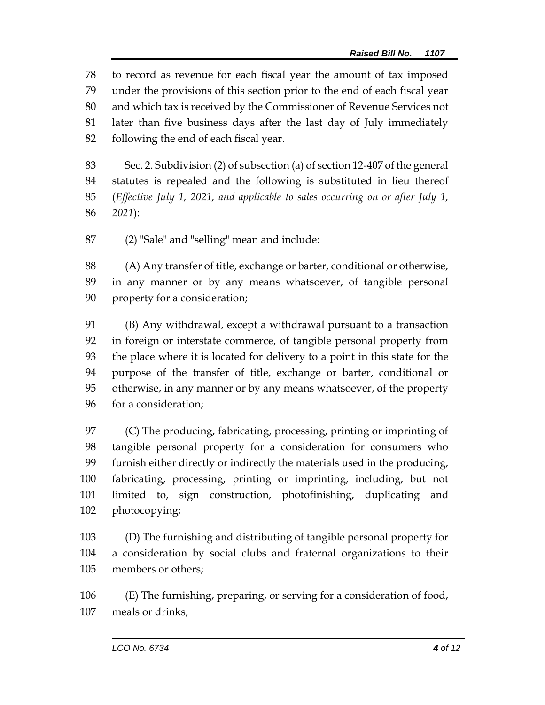to record as revenue for each fiscal year the amount of tax imposed under the provisions of this section prior to the end of each fiscal year and which tax is received by the Commissioner of Revenue Services not later than five business days after the last day of July immediately following the end of each fiscal year.

 Sec. 2. Subdivision (2) of subsection (a) of section 12-407 of the general statutes is repealed and the following is substituted in lieu thereof (*Effective July 1, 2021, and applicable to sales occurring on or after July 1, 2021*):

(2) "Sale" and "selling" mean and include:

 (A) Any transfer of title, exchange or barter, conditional or otherwise, in any manner or by any means whatsoever, of tangible personal property for a consideration;

 (B) Any withdrawal, except a withdrawal pursuant to a transaction in foreign or interstate commerce, of tangible personal property from the place where it is located for delivery to a point in this state for the purpose of the transfer of title, exchange or barter, conditional or otherwise, in any manner or by any means whatsoever, of the property for a consideration;

 (C) The producing, fabricating, processing, printing or imprinting of tangible personal property for a consideration for consumers who furnish either directly or indirectly the materials used in the producing, fabricating, processing, printing or imprinting, including, but not limited to, sign construction, photofinishing, duplicating and photocopying;

 (D) The furnishing and distributing of tangible personal property for a consideration by social clubs and fraternal organizations to their members or others;

 (E) The furnishing, preparing, or serving for a consideration of food, meals or drinks;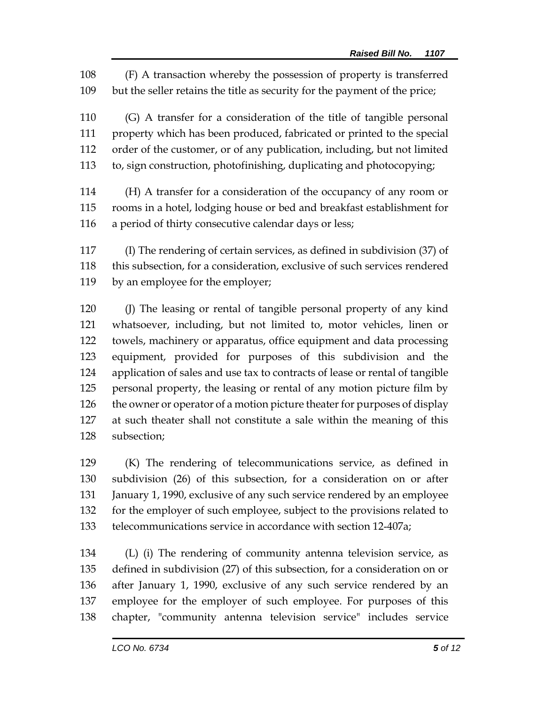(F) A transaction whereby the possession of property is transferred but the seller retains the title as security for the payment of the price;

 (G) A transfer for a consideration of the title of tangible personal property which has been produced, fabricated or printed to the special order of the customer, or of any publication, including, but not limited to, sign construction, photofinishing, duplicating and photocopying;

 (H) A transfer for a consideration of the occupancy of any room or rooms in a hotel, lodging house or bed and breakfast establishment for a period of thirty consecutive calendar days or less;

 (I) The rendering of certain services, as defined in subdivision (37) of this subsection, for a consideration, exclusive of such services rendered by an employee for the employer;

 (J) The leasing or rental of tangible personal property of any kind whatsoever, including, but not limited to, motor vehicles, linen or towels, machinery or apparatus, office equipment and data processing equipment, provided for purposes of this subdivision and the application of sales and use tax to contracts of lease or rental of tangible personal property, the leasing or rental of any motion picture film by 126 the owner or operator of a motion picture theater for purposes of display at such theater shall not constitute a sale within the meaning of this subsection;

 (K) The rendering of telecommunications service, as defined in subdivision (26) of this subsection, for a consideration on or after 131 January 1, 1990, exclusive of any such service rendered by an employee for the employer of such employee, subject to the provisions related to telecommunications service in accordance with section 12-407a;

 (L) (i) The rendering of community antenna television service, as defined in subdivision (27) of this subsection, for a consideration on or after January 1, 1990, exclusive of any such service rendered by an employee for the employer of such employee. For purposes of this chapter, "community antenna television service" includes service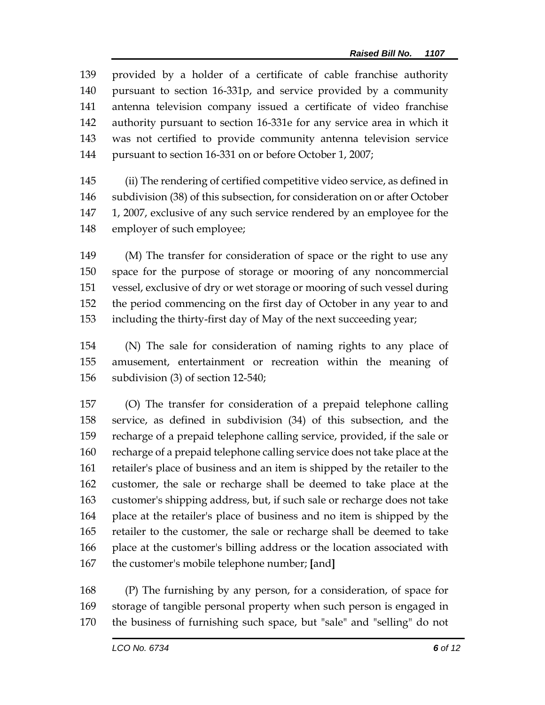provided by a holder of a certificate of cable franchise authority pursuant to section 16-331p, and service provided by a community antenna television company issued a certificate of video franchise authority pursuant to section 16-331e for any service area in which it was not certified to provide community antenna television service pursuant to section 16-331 on or before October 1, 2007;

 (ii) The rendering of certified competitive video service, as defined in subdivision (38) of this subsection, for consideration on or after October 1, 2007, exclusive of any such service rendered by an employee for the employer of such employee;

 (M) The transfer for consideration of space or the right to use any space for the purpose of storage or mooring of any noncommercial vessel, exclusive of dry or wet storage or mooring of such vessel during the period commencing on the first day of October in any year to and including the thirty-first day of May of the next succeeding year;

 (N) The sale for consideration of naming rights to any place of amusement, entertainment or recreation within the meaning of subdivision (3) of section 12-540;

 (O) The transfer for consideration of a prepaid telephone calling service, as defined in subdivision (34) of this subsection, and the recharge of a prepaid telephone calling service, provided, if the sale or recharge of a prepaid telephone calling service does not take place at the retailer's place of business and an item is shipped by the retailer to the customer, the sale or recharge shall be deemed to take place at the customer's shipping address, but, if such sale or recharge does not take place at the retailer's place of business and no item is shipped by the retailer to the customer, the sale or recharge shall be deemed to take place at the customer's billing address or the location associated with the customer's mobile telephone number; **[**and**]**

 (P) The furnishing by any person, for a consideration, of space for storage of tangible personal property when such person is engaged in the business of furnishing such space, but "sale" and "selling" do not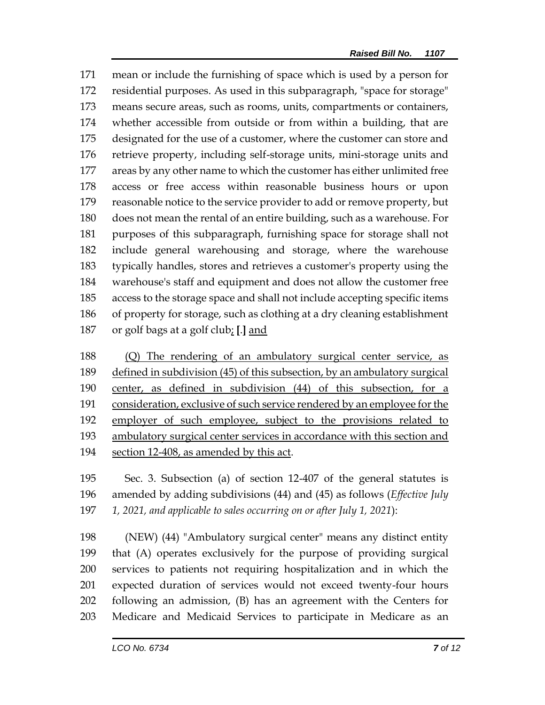mean or include the furnishing of space which is used by a person for residential purposes. As used in this subparagraph, "space for storage" means secure areas, such as rooms, units, compartments or containers, whether accessible from outside or from within a building, that are designated for the use of a customer, where the customer can store and retrieve property, including self-storage units, mini-storage units and areas by any other name to which the customer has either unlimited free access or free access within reasonable business hours or upon reasonable notice to the service provider to add or remove property, but does not mean the rental of an entire building, such as a warehouse. For purposes of this subparagraph, furnishing space for storage shall not include general warehousing and storage, where the warehouse typically handles, stores and retrieves a customer's property using the warehouse's staff and equipment and does not allow the customer free access to the storage space and shall not include accepting specific items of property for storage, such as clothing at a dry cleaning establishment or golf bags at a golf club; **[**.**]** and

188 (Q) The rendering of an ambulatory surgical center service, as defined in subdivision (45) of this subsection, by an ambulatory surgical center, as defined in subdivision (44) of this subsection, for a 191 consideration, exclusive of such service rendered by an employee for the employer of such employee, subject to the provisions related to ambulatory surgical center services in accordance with this section and section 12-408, as amended by this act.

 Sec. 3. Subsection (a) of section 12-407 of the general statutes is amended by adding subdivisions (44) and (45) as follows (*Effective July 1, 2021, and applicable to sales occurring on or after July 1, 2021*):

 (NEW) (44) "Ambulatory surgical center" means any distinct entity that (A) operates exclusively for the purpose of providing surgical services to patients not requiring hospitalization and in which the expected duration of services would not exceed twenty-four hours following an admission, (B) has an agreement with the Centers for Medicare and Medicaid Services to participate in Medicare as an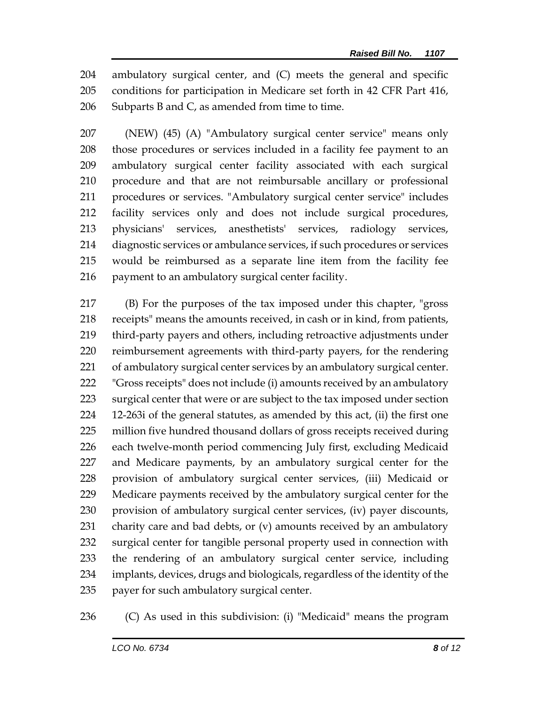ambulatory surgical center, and (C) meets the general and specific conditions for participation in Medicare set forth in 42 CFR Part 416, 206 Subparts B and  $C<sub>r</sub>$  as amended from time to time.

 (NEW) (45) (A) "Ambulatory surgical center service" means only those procedures or services included in a facility fee payment to an ambulatory surgical center facility associated with each surgical procedure and that are not reimbursable ancillary or professional procedures or services. "Ambulatory surgical center service" includes facility services only and does not include surgical procedures, physicians' services, anesthetists' services, radiology services, diagnostic services or ambulance services, if such procedures or services would be reimbursed as a separate line item from the facility fee 216 payment to an ambulatory surgical center facility.

 (B) For the purposes of the tax imposed under this chapter, "gross receipts" means the amounts received, in cash or in kind, from patients, third-party payers and others, including retroactive adjustments under reimbursement agreements with third-party payers, for the rendering of ambulatory surgical center services by an ambulatory surgical center. "Gross receipts" does not include (i) amounts received by an ambulatory surgical center that were or are subject to the tax imposed under section 12-263i of the general statutes, as amended by this act, (ii) the first one million five hundred thousand dollars of gross receipts received during each twelve-month period commencing July first, excluding Medicaid and Medicare payments, by an ambulatory surgical center for the provision of ambulatory surgical center services, (iii) Medicaid or Medicare payments received by the ambulatory surgical center for the provision of ambulatory surgical center services, (iv) payer discounts, charity care and bad debts, or (v) amounts received by an ambulatory surgical center for tangible personal property used in connection with the rendering of an ambulatory surgical center service, including implants, devices, drugs and biologicals, regardless of the identity of the payer for such ambulatory surgical center.

(C) As used in this subdivision: (i) "Medicaid" means the program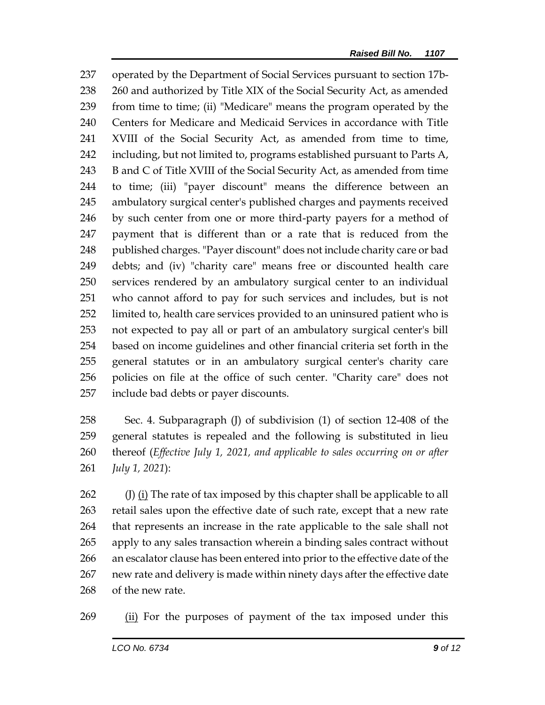operated by the Department of Social Services pursuant to section 17b- 260 and authorized by Title XIX of the Social Security Act, as amended from time to time; (ii) "Medicare" means the program operated by the Centers for Medicare and Medicaid Services in accordance with Title XVIII of the Social Security Act, as amended from time to time, 242 including, but not limited to, programs established pursuant to Parts A, 243 B and C of Title XVIII of the Social Security Act, as amended from time to time; (iii) "payer discount" means the difference between an ambulatory surgical center's published charges and payments received by such center from one or more third-party payers for a method of payment that is different than or a rate that is reduced from the 248 published charges. "Payer discount" does not include charity care or bad debts; and (iv) "charity care" means free or discounted health care services rendered by an ambulatory surgical center to an individual who cannot afford to pay for such services and includes, but is not limited to, health care services provided to an uninsured patient who is not expected to pay all or part of an ambulatory surgical center's bill based on income guidelines and other financial criteria set forth in the general statutes or in an ambulatory surgical center's charity care policies on file at the office of such center. "Charity care" does not include bad debts or payer discounts.

 Sec. 4. Subparagraph (J) of subdivision (1) of section 12-408 of the general statutes is repealed and the following is substituted in lieu thereof (*Effective July 1, 2021, and applicable to sales occurring on or after July 1, 2021*):

262 (J) (i) The rate of tax imposed by this chapter shall be applicable to all retail sales upon the effective date of such rate, except that a new rate that represents an increase in the rate applicable to the sale shall not apply to any sales transaction wherein a binding sales contract without an escalator clause has been entered into prior to the effective date of the new rate and delivery is made within ninety days after the effective date of the new rate.

(ii) For the purposes of payment of the tax imposed under this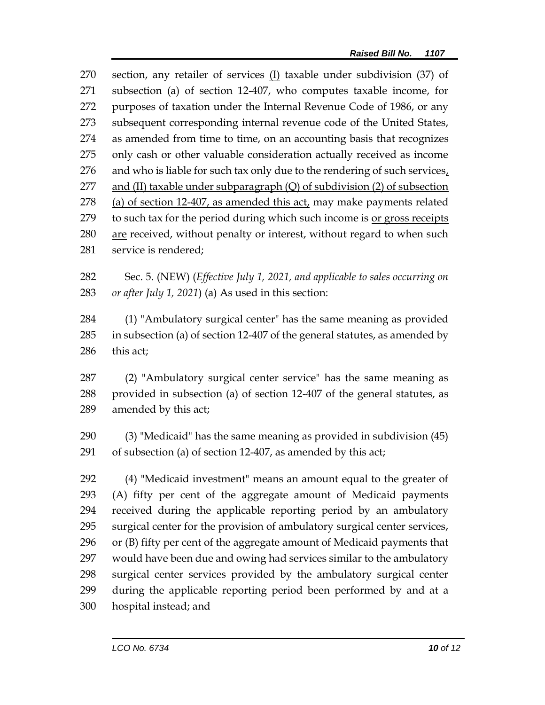section, any retailer of services (I) taxable under subdivision (37) of subsection (a) of section 12-407, who computes taxable income, for purposes of taxation under the Internal Revenue Code of 1986, or any subsequent corresponding internal revenue code of the United States, as amended from time to time, on an accounting basis that recognizes only cash or other valuable consideration actually received as income 276 and who is liable for such tax only due to the rendering of such services, 277 and (II) taxable under subparagraph  $(Q)$  of subdivision  $(2)$  of subsection (a) of section 12-407, as amended this act, may make payments related to such tax for the period during which such income is or gross receipts are received, without penalty or interest, without regard to when such service is rendered;

 Sec. 5. (NEW) (*Effective July 1, 2021, and applicable to sales occurring on or after July 1, 2021*) (a) As used in this section:

 (1) "Ambulatory surgical center" has the same meaning as provided in subsection (a) of section 12-407 of the general statutes, as amended by this act;

 (2) "Ambulatory surgical center service" has the same meaning as provided in subsection (a) of section 12-407 of the general statutes, as amended by this act;

 (3) "Medicaid" has the same meaning as provided in subdivision (45) of subsection (a) of section 12-407, as amended by this act;

 (4) "Medicaid investment" means an amount equal to the greater of (A) fifty per cent of the aggregate amount of Medicaid payments received during the applicable reporting period by an ambulatory surgical center for the provision of ambulatory surgical center services, or (B) fifty per cent of the aggregate amount of Medicaid payments that would have been due and owing had services similar to the ambulatory surgical center services provided by the ambulatory surgical center during the applicable reporting period been performed by and at a hospital instead; and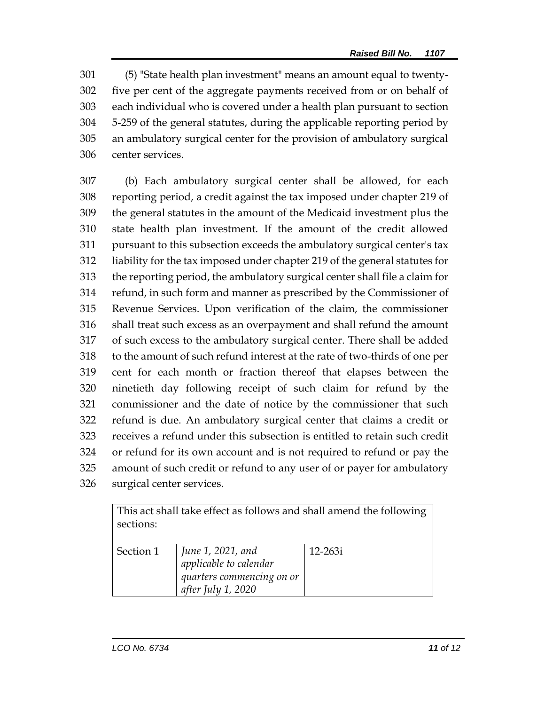(5) "State health plan investment" means an amount equal to twenty- five per cent of the aggregate payments received from or on behalf of each individual who is covered under a health plan pursuant to section 5-259 of the general statutes, during the applicable reporting period by an ambulatory surgical center for the provision of ambulatory surgical center services.

 (b) Each ambulatory surgical center shall be allowed, for each reporting period, a credit against the tax imposed under chapter 219 of the general statutes in the amount of the Medicaid investment plus the state health plan investment. If the amount of the credit allowed pursuant to this subsection exceeds the ambulatory surgical center's tax liability for the tax imposed under chapter 219 of the general statutes for the reporting period, the ambulatory surgical center shall file a claim for refund, in such form and manner as prescribed by the Commissioner of Revenue Services. Upon verification of the claim, the commissioner shall treat such excess as an overpayment and shall refund the amount of such excess to the ambulatory surgical center. There shall be added to the amount of such refund interest at the rate of two-thirds of one per cent for each month or fraction thereof that elapses between the ninetieth day following receipt of such claim for refund by the commissioner and the date of notice by the commissioner that such refund is due. An ambulatory surgical center that claims a credit or receives a refund under this subsection is entitled to retain such credit or refund for its own account and is not required to refund or pay the amount of such credit or refund to any user of or payer for ambulatory surgical center services.

| This act shall take effect as follows and shall amend the following<br>sections: |                                                                                                       |             |  |
|----------------------------------------------------------------------------------|-------------------------------------------------------------------------------------------------------|-------------|--|
|                                                                                  |                                                                                                       |             |  |
| Section 1                                                                        | June 1, 2021, and<br><i>applicable to calendar</i><br>quarters commencing on or<br>after July 1, 2020 | $12 - 263i$ |  |